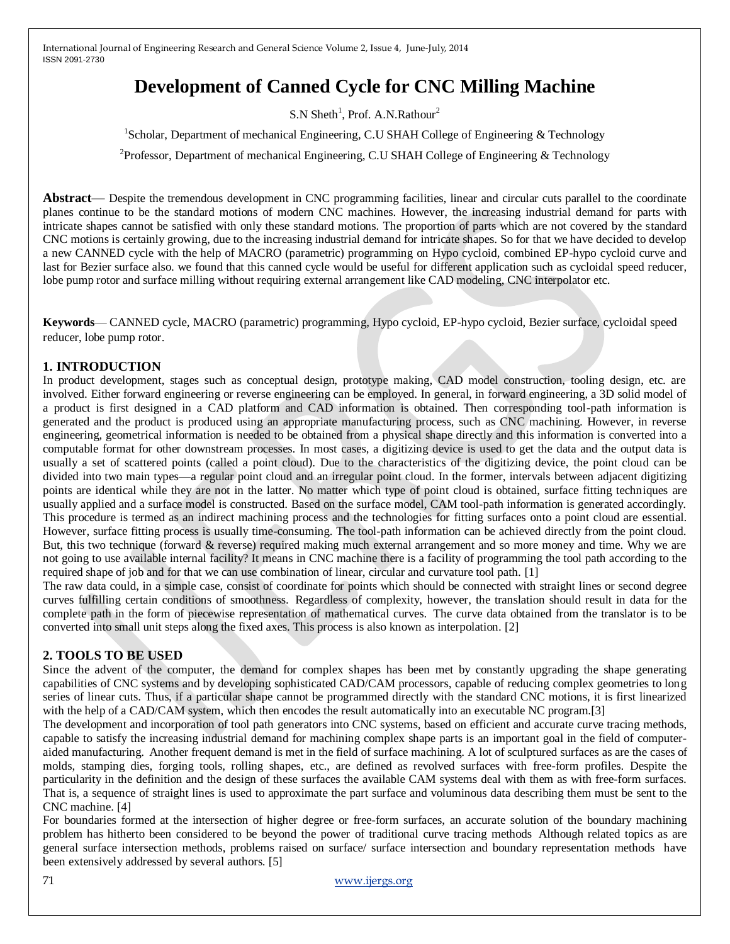# **Development of Canned Cycle for CNC Milling Machine**

S.N Sheth<sup>1</sup>, Prof. A.N.Rathour<sup>2</sup>

<sup>1</sup>Scholar, Department of mechanical Engineering, C.U SHAH College of Engineering & Technology

<sup>2</sup>Professor, Department of mechanical Engineering, C.U SHAH College of Engineering & Technology

**Abstract**— Despite the tremendous development in CNC programming facilities, linear and circular cuts parallel to the coordinate planes continue to be the standard motions of modern CNC machines. However, the increasing industrial demand for parts with intricate shapes cannot be satisfied with only these standard motions. The proportion of parts which are not covered by the standard CNC motions is certainly growing, due to the increasing industrial demand for intricate shapes. So for that we have decided to develop a new CANNED cycle with the help of MACRO (parametric) programming on Hypo cycloid, combined EP-hypo cycloid curve and last for Bezier surface also. we found that this canned cycle would be useful for different application such as cycloidal speed reducer, lobe pump rotor and surface milling without requiring external arrangement like CAD modeling, CNC interpolator etc.

**Keywords**— CANNED cycle, MACRO (parametric) programming, Hypo cycloid, EP-hypo cycloid, Bezier surface, cycloidal speed reducer, lobe pump rotor.

## **1. INTRODUCTION**

In product development, stages such as conceptual design, prototype making, CAD model construction, tooling design, etc. are involved. Either forward engineering or reverse engineering can be employed. In general, in forward engineering, a 3D solid model of a product is first designed in a CAD platform and CAD information is obtained. Then corresponding tool-path information is generated and the product is produced using an appropriate manufacturing process, such as CNC machining. However, in reverse engineering, geometrical information is needed to be obtained from a physical shape directly and this information is converted into a computable format for other downstream processes. In most cases, a digitizing device is used to get the data and the output data is usually a set of scattered points (called a point cloud). Due to the characteristics of the digitizing device, the point cloud can be divided into two main types—a regular point cloud and an irregular point cloud. In the former, intervals between adjacent digitizing points are identical while they are not in the latter. No matter which type of point cloud is obtained, surface fitting techniques are usually applied and a surface model is constructed. Based on the surface model, CAM tool-path information is generated accordingly. This procedure is termed as an indirect machining process and the technologies for fitting surfaces onto a point cloud are essential. However, surface fitting process is usually time-consuming. The tool-path information can be achieved directly from the point cloud. But, this two technique (forward & reverse) required making much external arrangement and so more money and time. Why we are not going to use available internal facility? It means in CNC machine there is a facility of programming the tool path according to the required shape of job and for that we can use combination of linear, circular and curvature tool path. [1]

The raw data could, in a simple case, consist of coordinate for points which should be connected with straight lines or second degree curves fulfilling certain conditions of smoothness. Regardless of complexity, however, the translation should result in data for the complete path in the form of piecewise representation of mathematical curves. The curve data obtained from the translator is to be converted into small unit steps along the fixed axes. This process is also known as interpolation. [2]

## **2. TOOLS TO BE USED**

Since the advent of the computer, the demand for complex shapes has been met by constantly upgrading the shape generating capabilities of CNC systems and by developing sophisticated CAD/CAM processors, capable of reducing complex geometries to long series of linear cuts. Thus, if a particular shape cannot be programmed directly with the standard CNC motions, it is first linearized with the help of a CAD/CAM system, which then encodes the result automatically into an executable NC program.[3]

The development and incorporation of tool path generators into CNC systems, based on efficient and accurate curve tracing methods, capable to satisfy the increasing industrial demand for machining complex shape parts is an important goal in the field of computeraided manufacturing. Another frequent demand is met in the field of surface machining. A lot of sculptured surfaces as are the cases of molds, stamping dies, forging tools, rolling shapes, etc., are defined as revolved surfaces with free-form profiles. Despite the particularity in the definition and the design of these surfaces the available CAM systems deal with them as with free-form surfaces. That is, a sequence of straight lines is used to approximate the part surface and voluminous data describing them must be sent to the CNC machine. [4]

For boundaries formed at the intersection of higher degree or free-form surfaces, an accurate solution of the boundary machining problem has hitherto been considered to be beyond the power of traditional curve tracing methods Although related topics as are general surface intersection methods, problems raised on surface/ surface intersection and boundary representation methods have been extensively addressed by several authors. [5]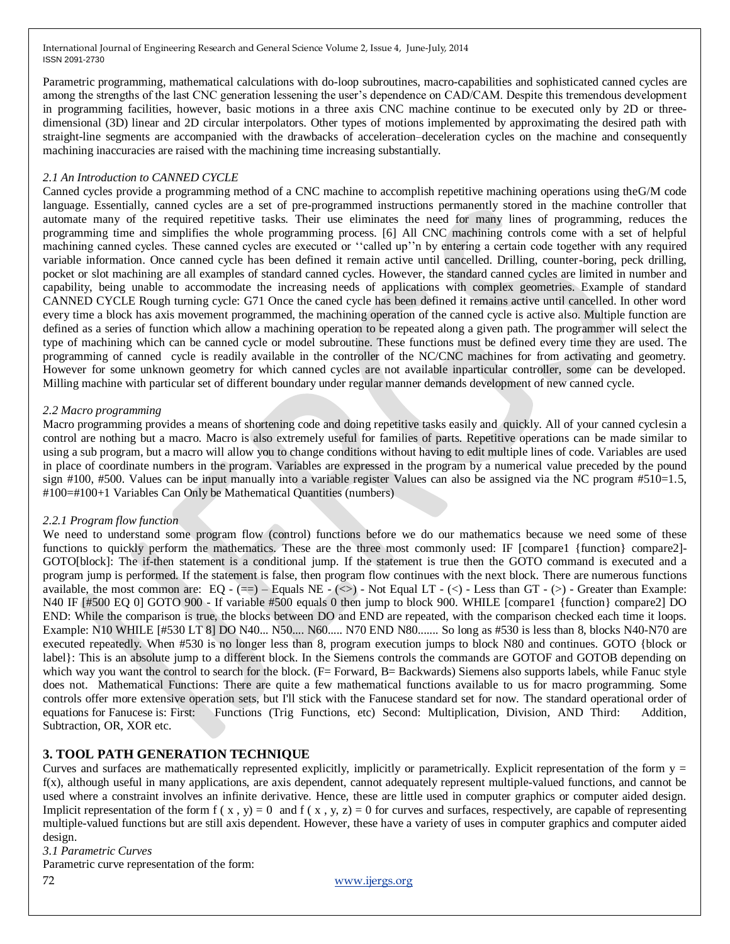Parametric programming, mathematical calculations with do-loop subroutines, macro-capabilities and sophisticated canned cycles are among the strengths of the last CNC generation lessening the user's dependence on CAD/CAM. Despite this tremendous development in programming facilities, however, basic motions in a three axis CNC machine continue to be executed only by 2D or threedimensional (3D) linear and 2D circular interpolators. Other types of motions implemented by approximating the desired path with straight-line segments are accompanied with the drawbacks of acceleration–deceleration cycles on the machine and consequently machining inaccuracies are raised with the machining time increasing substantially.

#### *2.1 An Introduction to CANNED CYCLE*

Canned cycles provide a programming method of a CNC machine to accomplish repetitive machining operations using theG/M code language. Essentially, canned cycles are a set of pre-programmed instructions permanently stored in the machine controller that automate many of the required repetitive tasks. Their use eliminates the need for many lines of programming, reduces the programming time and simplifies the whole programming process. [6] All CNC machining controls come with a set of helpful machining canned cycles. These canned cycles are executed or "called up"n by entering a certain code together with any required variable information. Once canned cycle has been defined it remain active until cancelled. Drilling, counter-boring, peck drilling, pocket or slot machining are all examples of standard canned cycles. However, the standard canned cycles are limited in number and capability, being unable to accommodate the increasing needs of applications with complex geometries. Example of standard CANNED CYCLE Rough turning cycle: G71 Once the caned cycle has been defined it remains active until cancelled. In other word every time a block has axis movement programmed, the machining operation of the canned cycle is active also. Multiple function are defined as a series of function which allow a machining operation to be repeated along a given path. The programmer will select the type of machining which can be canned cycle or model subroutine. These functions must be defined every time they are used. The programming of canned cycle is readily available in the controller of the NC/CNC machines for from activating and geometry. However for some unknown geometry for which canned cycles are not available inparticular controller, some can be developed. Milling machine with particular set of different boundary under regular manner demands development of new canned cycle.

#### *2.2 Macro programming*

Macro programming provides a means of shortening code and doing repetitive tasks easily and quickly. All of your canned cyclesin a control are nothing but a macro. Macro is also extremely useful for families of parts. Repetitive operations can be made similar to using a sub program, but a macro will allow you to change conditions without having to edit multiple lines of code. Variables are used in place of coordinate numbers in the program. Variables are expressed in the program by a numerical value preceded by the pound sign #100, #500. Values can be input manually into a variable register Values can also be assigned via the NC program #510=1.5, #100=#100+1 Variables Can Only be Mathematical Quantities (numbers)

#### *2.2.1 Program flow function*

We need to understand some program flow (control) functions before we do our mathematics because we need some of these functions to quickly perform the mathematics. These are the three most commonly used: IF [compare1 {function} compare2]-GOTO[block]: The if-then statement is a conditional jump. If the statement is true then the GOTO command is executed and a program jump is performed. If the statement is false, then program flow continues with the next block. There are numerous functions available, the most common are:  $EQ - (=) - Equals NE - (<) - Not Equal LT - (<) - Less than GT - (<) - Greater than Example$ : N40 IF [#500 EQ 0] GOTO 900 - If variable #500 equals 0 then jump to block 900. WHILE [compare1 {function} compare2] DO END: While the comparison is true, the blocks between DO and END are repeated, with the comparison checked each time it loops. Example: N10 WHILE [#530 LT 8] DO N40... N50.... N60..... N70 END N80....... So long as #530 is less than 8, blocks N40-N70 are executed repeatedly. When #530 is no longer less than 8, program execution jumps to block N80 and continues. GOTO {block or label}: This is an absolute jump to a different block. In the Siemens controls the commands are GOTOF and GOTOB depending on which way you want the control to search for the block. (F= Forward, B= Backwards) Siemens also supports labels, while Fanuc style does not. Mathematical Functions: There are quite a few mathematical functions available to us for macro programming. Some controls offer more extensive operation sets, but I'll stick with the Fanucese standard set for now. The standard operational order of equations for Fanucese is: First: Functions (Trig Functions, etc) Second: Multiplication, Division, AND Third: Addition, Subtraction, OR, XOR etc.

## **3. TOOL PATH GENERATION TECHNIQUE**

Curves and surfaces are mathematically represented explicitly, implicitly or parametrically. Explicit representation of the form  $y =$ f(x), although useful in many applications, are axis dependent, cannot adequately represent multiple-valued functions, and cannot be used where a constraint involves an infinite derivative. Hence, these are little used in computer graphics or computer aided design. Implicit representation of the form  $f(x, y) = 0$  and  $f(x, y, z) = 0$  for curves and surfaces, respectively, are capable of representing multiple-valued functions but are still axis dependent. However, these have a variety of uses in computer graphics and computer aided design.

*3.1 Parametric Curves*

Parametric curve representation of the form: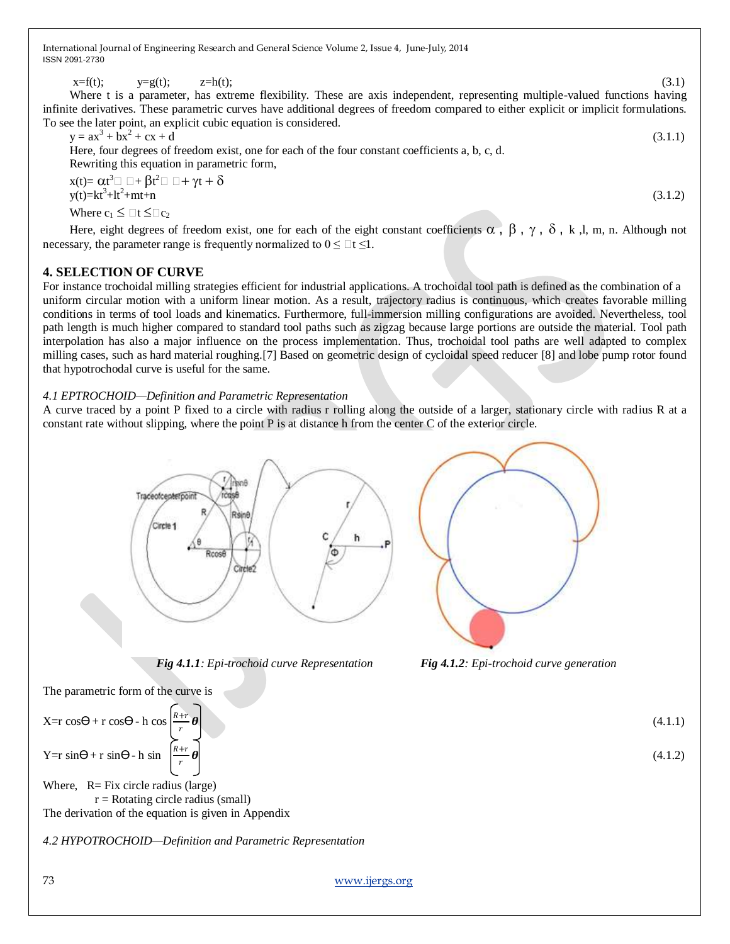$x = f(t);$   $y = g(t);$   $z = h(t);$  (3.1)

Where t is a parameter, has extreme flexibility. These are axis independent, representing multiple-valued functions having infinite derivatives. These parametric curves have additional degrees of freedom compared to either explicit or implicit formulations. To see the later point, an explicit cubic equation is considered.

$$
y = ax3 + bx2 + cx + d
$$
 (3.1.1)  
Here, four degrees of freedom exist, one for each of the four constant coefficients a, b, c, d.  
Rewriting this equation in parametric form,

 $x(t) = \alpha t^3 \Box \Box + \beta t^2 \Box \Box + \gamma t + \delta$  $y(t)=kt^3+lt^2$  $+mt+n$  (3.1.2) Where  $c_1 \leq \Box t \leq \Box c_2$ 

Here, eight degrees of freedom exist, one for each of the eight constant coefficients  $\alpha$ ,  $\beta$ ,  $\gamma$ ,  $\delta$ , k, l, m, n. Although not necessary, the parameter range is frequently normalized to  $0 \leq \exists t \leq 1$ .

# **4. SELECTION OF CURVE**

For instance trochoidal milling strategies efficient for industrial applications. A trochoidal tool path is defined as the combination of a uniform circular motion with a uniform linear motion. As a result, trajectory radius is continuous, which creates favorable milling conditions in terms of tool loads and kinematics. Furthermore, full-immersion milling configurations are avoided. Nevertheless, tool path length is much higher compared to standard tool paths such as zigzag because large portions are outside the material. Tool path interpolation has also a major influence on the process implementation. Thus, trochoidal tool paths are well adapted to complex milling cases, such as hard material roughing.[7] Based on geometric design of cycloidal speed reducer [8] and lobe pump rotor found that hypotrochodal curve is useful for the same.

*4.1 EPTROCHOID—Definition and Parametric Representation*

A curve traced by a point P fixed to a circle with radius r rolling along the outside of a larger, stationary circle with radius R at a constant rate without slipping, where the point P is at distance h from the center C of the exterior circle.



 *Fig 4.1.1: Epi-trochoid curve Representation Fig 4.1.2: Epi-trochoid curve generation*

The parametric form of the curve is

 $X=r \cos\Theta + r \cos\Theta - h \cos\Theta$ r  $Y=r \sin\Theta + r \sin\Theta - h \sin\Theta$  $R+r$ r  $\theta$  (4.1.2)

Where,  $R = Fix$  circle radius (large)  $r =$ Rotating circle radius (small) The derivation of the equation is given in Appendix

*4.2 HYPOTROCHOID—Definition and Parametric Representation*



 $\theta$  (4.1.1)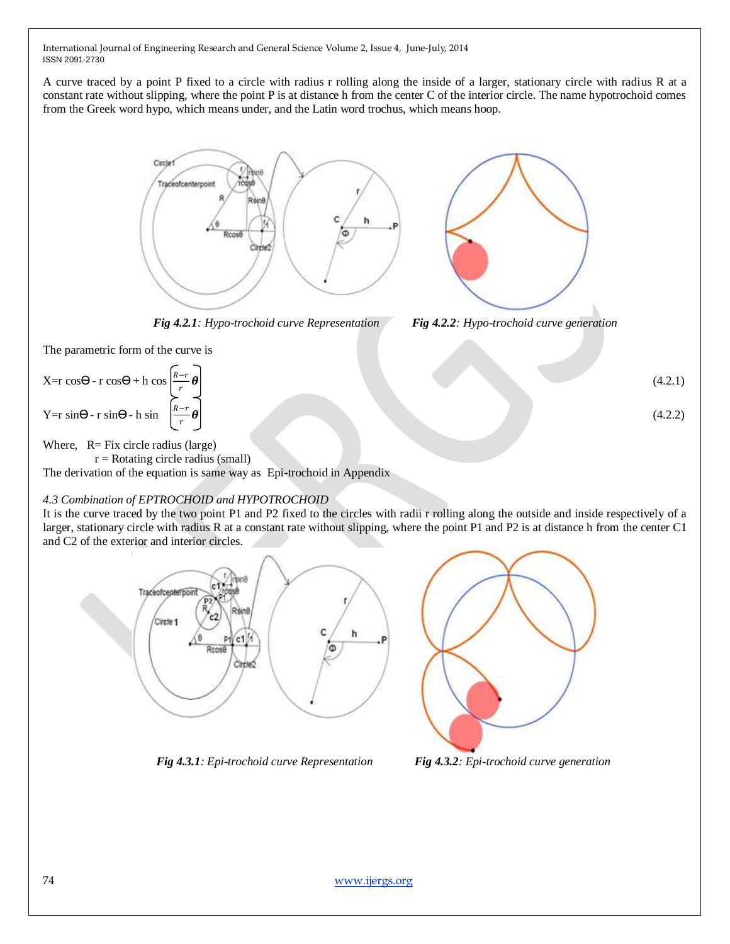A curve traced by a point P fixed to a circle with radius r rolling along the inside of a larger, stationary circle with radius R at a constant rate without slipping, where the point P is at distance h from the center C of the interior circle. The name hypotrochoid comes from the Greek word hypo, which means under, and the Latin word trochus, which means hoop.



 *Fig 4.2.1: Hypo-trochoid curve Representation Fig 4.2.2: Hypo-trochoid curve generation*



The parametric form of the curve is

 $X=r \cos\Theta - r \cos\Theta + h \cos\Theta$ r  $\theta$  (4.2.1) Y=r sin $\Theta$ - r sin $\Theta$ - h sin r  $\theta$  (4.2.2)

Where,  $R = Fix$  circle radius (large)

 $r =$ Rotating circle radius (small) The derivation of the equation is same way as Epi-trochoid in Appendix

# *4.3 Combination of EPTROCHOID and HYPOTROCHOID*

It is the curve traced by the two point P1 and P2 fixed to the circles with radii r rolling along the outside and inside respectively of a larger, stationary circle with radius R at a constant rate without slipping, where the point P1 and P2 is at distance h from the center C1 and C2 of the exterior and interior circles.



 *Fig 4.3.1: Epi-trochoid curve Representation Fig 4.3.2: Epi-trochoid curve generation*

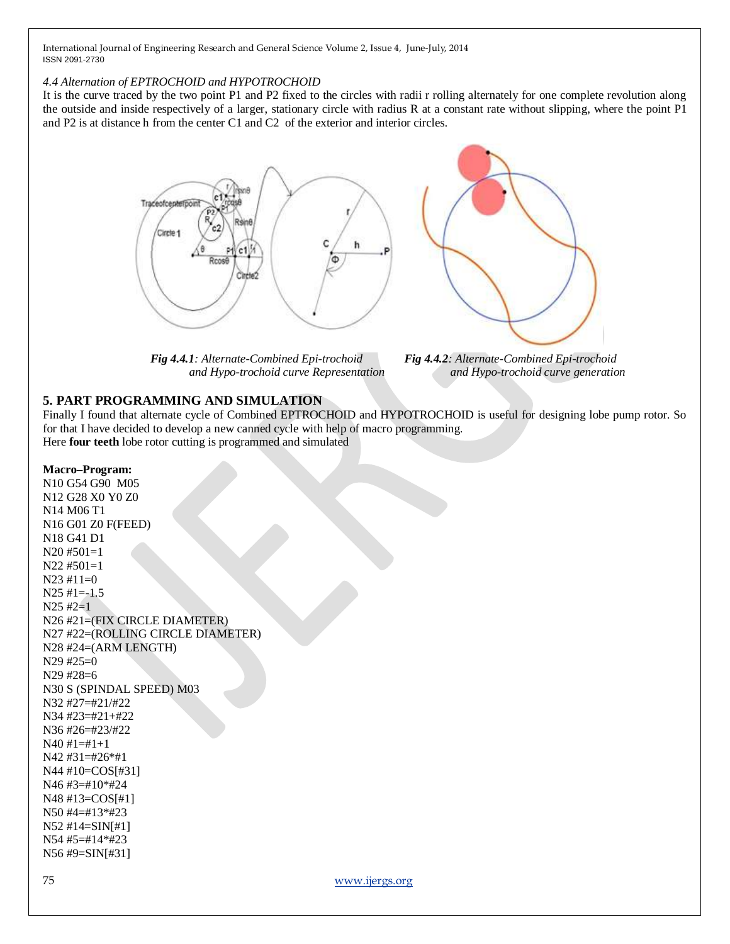#### *4.4 Alternation of EPTROCHOID and HYPOTROCHOID*

It is the curve traced by the two point P1 and P2 fixed to the circles with radii r rolling alternately for one complete revolution along the outside and inside respectively of a larger, stationary circle with radius R at a constant rate without slipping, where the point P1 and P2 is at distance h from the center C1 and C2 of the exterior and interior circles.



 *Fig 4.4.1: Alternate-Combined Epi-trochoid Fig 4.4.2: Alternate-Combined Epi-trochoid*



 *and Hypo-trochoid curve Representation and Hypo-trochoid curve generation*

## **5. PART PROGRAMMING AND SIMULATION**

Finally I found that alternate cycle of Combined EPTROCHOID and HYPOTROCHOID is useful for designing lobe pump rotor. So for that I have decided to develop a new canned cycle with help of macro programming. Here **four teeth** lobe rotor cutting is programmed and simulated

#### **Macro–Program:**

N10 G54 G90 M05 N12 G28 X0 Y0 Z0 N14 M06 T1 N16 G01 Z0 F(FEED) N18 G41 D1 N20 #501=1 N22 #501=1  $N23$  #11=0  $N25$  #1=-1.5  $N25 \#2=1$ N26 #21=(FIX CIRCLE DIAMETER) N27 #22=(ROLLING CIRCLE DIAMETER) N28 #24=(ARM LENGTH) N29 #25=0 N29 #28=6 N30 S (SPINDAL SPEED) M03 N32 #27=#21/#22 N34 #23=#21+#22 N36 #26=#23/#22  $N40 #1=#1+1$ N42 #31=#26\*#1 N44 #10=COS[#31] N46 #3=#10\*#24 N48 #13=COS[#1] N50 #4=#13\*#23 N52 #14=SIN[#1] N54 #5=#14\*#23 N56 #9=SIN[#31]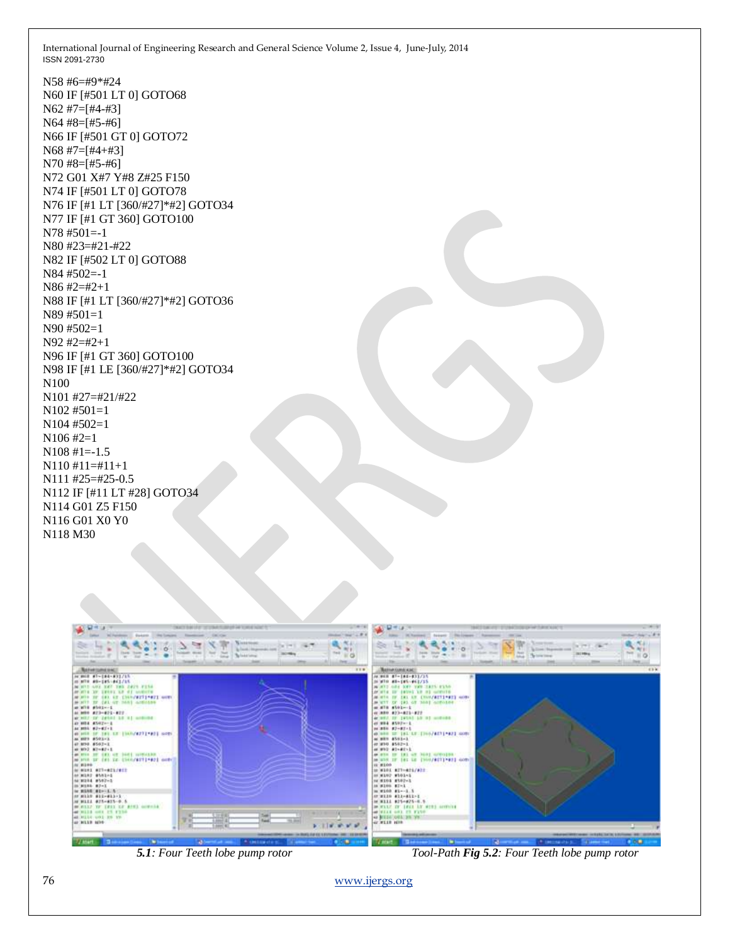N58 #6=#9\*#24 N60 IF [#501 LT 0] GOTO68 N62 #7=[#4-#3] N64 #8=[#5-#6] N66 IF [#501 GT 0] GOTO72 N68 #7=[#4+#3] N70 #8=[#5-#6] N72 G01 X#7 Y#8 Z#25 F150 N74 IF [#501 LT 0] GOTO78 N76 IF [#1 LT [360/#27]\*#2] GOTO34 N77 IF [#1 GT 360] GOTO100 N78 #501=-1 N80 #23=#21-#22 N82 IF [#502 LT 0] GOTO88 N84 #502=-1 N86 #2=#2+1 N88 IF [#1 LT [360/#27]\*#2] GOTO36 N89 #501=1 N90 #502=1 N92 #2=#2+1 N96 IF [#1 GT 360] GOTO100 N98 IF [#1 LE [360/#27]\*#2] GOTO34 N100 N101 #27=#21/#22 N102 #501=1 N104 #502=1 N106 #2=1 N108 #1=-1.5 N110 #11=#11+1 N111 #25=#25-0.5 N112 IF [#11 LT #28] GOTO34 N114 G01 Z5 F150 N116 G01 X0 Y0 N118 M30



 *5.1: Four Teeth lobe pump rotor Tool-Path Fig 5.2: Four Teeth lobe pump rotor*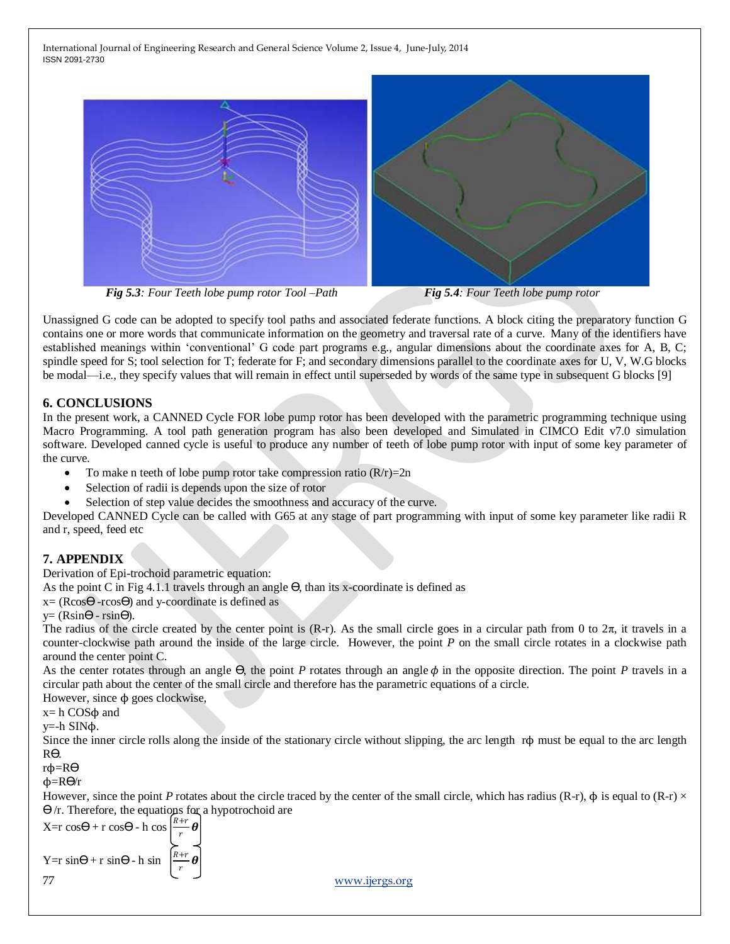

 *Fig 5.3: Four Teeth lobe pump rotor Tool –Path Fig 5.4: Four Teeth lobe pump rotor*

Unassigned G code can be adopted to specify tool paths and associated federate functions. A block citing the preparatory function G contains one or more words that communicate information on the geometry and traversal rate of a curve. Many of the identifiers have established meanings within 'conventional' G code part programs e.g., angular dimensions about the coordinate axes for A, B, C; spindle speed for S; tool selection for T; federate for F; and secondary dimensions parallel to the coordinate axes for U, V, W.G blocks be modal—i.e., they specify values that will remain in effect until superseded by words of the same type in subsequent G blocks [9]

# **6. CONCLUSIONS**

In the present work, a CANNED Cycle FOR lobe pump rotor has been developed with the parametric programming technique using Macro Programming. A tool path generation program has also been developed and Simulated in CIMCO Edit v7.0 simulation software. Developed canned cycle is useful to produce any number of teeth of lobe pump rotor with input of some key parameter of the curve.

- To make n teeth of lobe pump rotor take compression ratio  $(R/r)=2n$
- Selection of radii is depends upon the size of rotor
- Selection of step value decides the smoothness and accuracy of the curve.

Developed CANNED Cycle can be called with G65 at any stage of part programming with input of some key parameter like radii R and r, speed, feed etc

# **7. APPENDIX**

Derivation of Epi-trochoid parametric equation:

As the point C in Fig 4.1.1 travels through an angle  $\Theta$ , than its x-coordinate is defined as

 $x=(R\cos\Theta - r\cos\Theta)$  and y-coordinate is defined as

```
y=(R\sin\Theta - r\sin\Theta).
```
The radius of the circle created by the center point is  $(R-r)$ . As the small circle goes in a circular path from 0 to  $2\pi$ , it travels in a counter-clockwise path around the inside of the large circle. However, the point *P* on the small circle rotates in a clockwise path around the center point C.

As the center rotates through an angle Θ, the point *P* rotates through an angle φ in the opposite direction. The point *P* travels in a circular path about the center of the small circle and therefore has the parametric equations of a circle.

However, since  $φ$  goes clockwise,

x= h COSϕ and

y=-h SINϕ.

Since the inner circle rolls along the inside of the stationary circle without slipping, the arc length rϕ must be equal to the arc length Rϴ.

rϕ=Rϴ

ϕ=Rϴ/r

However, since the point *P* rotates about the circle traced by the center of the small circle, which has radius (R-r),  $\phi$  is equal to (R-r)  $\times$  $\Theta$ /r. Therefore, the equations for a hypotrochoid are

77 [www.ijergs.org](http://www.ijergs.org/)  $X=r \cos\Theta + r \cos\Theta - h \cos\Theta$ r  $\boldsymbol{\theta}$ Y=r  $sin\Theta$ + r  $sin\Theta$ - h sin r  $\boldsymbol{\theta}$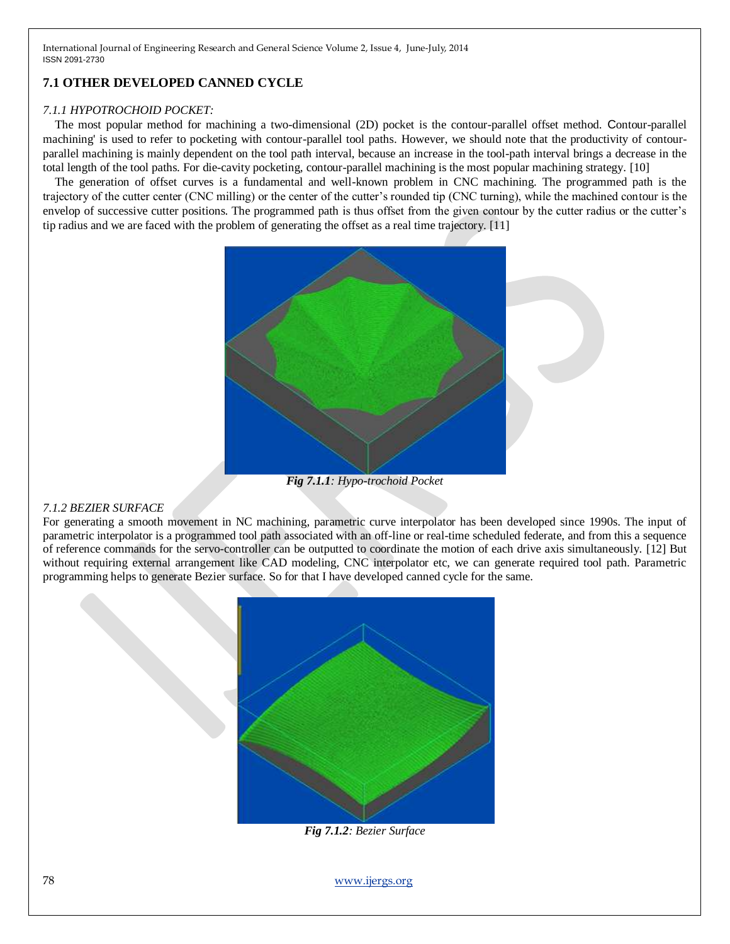# **7.1 OTHER DEVELOPED CANNED CYCLE**

#### *7.1.1 HYPOTROCHOID POCKET:*

The most popular method for machining a two-dimensional (2D) pocket is the contour-parallel offset method. Contour-parallel machining' is used to refer to pocketing with contour-parallel tool paths. However, we should note that the productivity of contourparallel machining is mainly dependent on the tool path interval, because an increase in the tool-path interval brings a decrease in the total length of the tool paths. For die-cavity pocketing, contour-parallel machining is the most popular machining strategy. [10]

The generation of offset curves is a fundamental and well-known problem in CNC machining. The programmed path is the trajectory of the cutter center (CNC milling) or the center of the cutter's rounded tip (CNC turning), while the machined contour is the envelop of successive cutter positions. The programmed path is thus offset from the given contour by the cutter radius or the cutter's tip radius and we are faced with the problem of generating the offset as a real time trajectory. [11]



*Fig 7.1.1: Hypo-trochoid Pocket* 

#### *7.1.2 BEZIER SURFACE*

For generating a smooth movement in NC machining, parametric curve interpolator has been developed since 1990s. The input of parametric interpolator is a programmed tool path associated with an off-line or real-time scheduled federate, and from this a sequence of reference commands for the servo-controller can be outputted to coordinate the motion of each drive axis simultaneously. [12] But without requiring external arrangement like CAD modeling, CNC interpolator etc, we can generate required tool path. Parametric programming helps to generate Bezier surface. So for that I have developed canned cycle for the same.



*Fig 7.1.2: Bezier Surface*